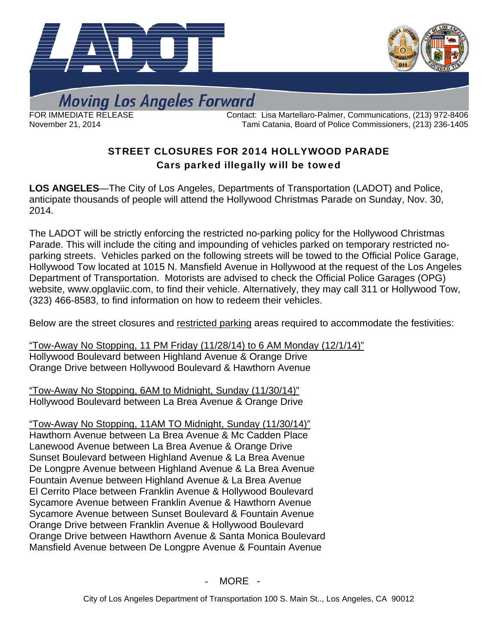



**Moving Los Angeles Forward** 

FOR IMMEDIATE RELEASE Contact: Lisa Martellaro-Palmer, Communications, (213) 972-8406 November 21, 2014 Tami Catania, Board of Police Commissioners, (213) 236-1405

## STREET CLOSURES FOR 2014 HOLLYWOOD PARADE Cars parked illegally will be towed

**LOS ANGELES**—The City of Los Angeles, Departments of Transportation (LADOT) and Police, anticipate thousands of people will attend the Hollywood Christmas Parade on Sunday, Nov. 30, 2014.

The LADOT will be strictly enforcing the restricted no-parking policy for the Hollywood Christmas Parade. This will include the citing and impounding of vehicles parked on temporary restricted noparking streets. Vehicles parked on the following streets will be towed to the Official Police Garage, Hollywood Tow located at 1015 N. Mansfield Avenue in Hollywood at the request of the Los Angeles Department of Transportation. Motorists are advised to check the Official Police Garages (OPG) website, [www.opglaviic.com](http://www.opglaviic.com/), to find their vehicle. Alternatively, they may call 311 or Hollywood Tow, (323) 466-8583, to find information on how to redeem their vehicles.

Below are the street closures and restricted parking areas required to accommodate the festivities:

"Tow-Away No Stopping, 11 PM Friday (11/28/14) to 6 AM Monday (12/1/14)" Hollywood Boulevard between Highland Avenue & Orange Drive Orange Drive between Hollywood Boulevard & Hawthorn Avenue

"Tow-Away No Stopping, 6AM to Midnight, Sunday (11/30/14)" Hollywood Boulevard between La Brea Avenue & Orange Drive

"Tow-Away No Stopping, 11AM TO Midnight, Sunday (11/30/14)" Hawthorn Avenue between La Brea Avenue & Mc Cadden Place Lanewood Avenue between La Brea Avenue & Orange Drive Sunset Boulevard between Highland Avenue & La Brea Avenue De Longpre Avenue between Highland Avenue & La Brea Avenue Fountain Avenue between Highland Avenue & La Brea Avenue El Cerrito Place between Franklin Avenue & Hollywood Boulevard Sycamore Avenue between Franklin Avenue & Hawthorn Avenue Sycamore Avenue between Sunset Boulevard & Fountain Avenue Orange Drive between Franklin Avenue & Hollywood Boulevard Orange Drive between Hawthorn Avenue & Santa Monica Boulevard Mansfield Avenue between De Longpre Avenue & Fountain Avenue

- MORE -